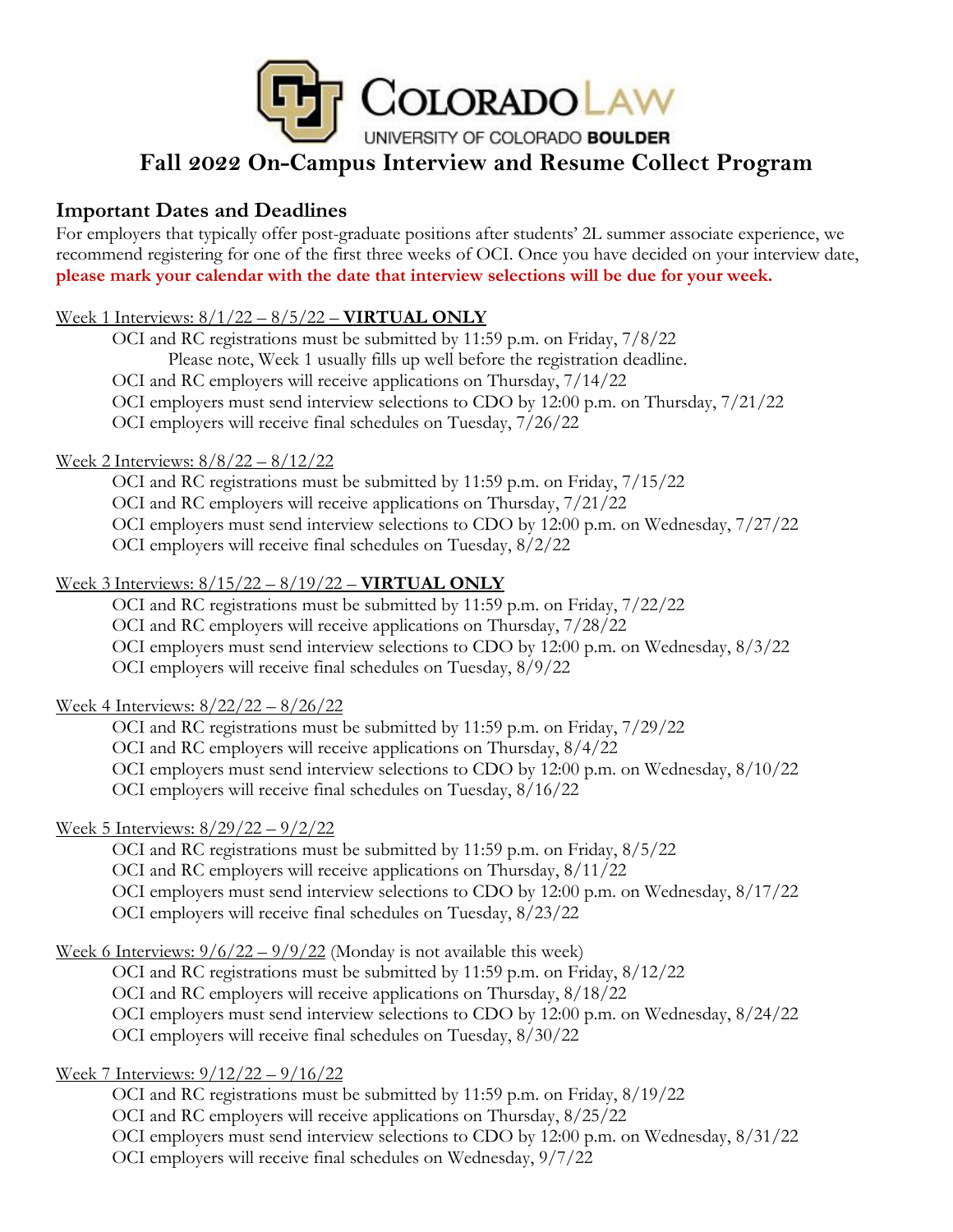

# **Fall 2022 On-Campus Interview and Resume Collect Program**

### **Important Dates and Deadlines**

For employers that typically offer post-graduate positions after students' 2L summer associate experience, we recommend registering for one of the first three weeks of OCI. Once you have decided on your interview date, **please mark your calendar with the date that interview selections will be due for your week.**

### Week 1 Interviews: 8/1/22 – 8/5/22 – **VIRTUAL ONLY**

OCI and RC registrations must be submitted by 11:59 p.m. on Friday, 7/8/22 Please note, Week 1 usually fills up well before the registration deadline. OCI and RC employers will receive applications on Thursday, 7/14/22 OCI employers must send interview selections to CDO by 12:00 p.m. on Thursday, 7/21/22 OCI employers will receive final schedules on Tuesday, 7/26/22

#### Week 2 Interviews: 8/8/22 – 8/12/22

OCI and RC registrations must be submitted by 11:59 p.m. on Friday, 7/15/22 OCI and RC employers will receive applications on Thursday, 7/21/22 OCI employers must send interview selections to CDO by 12:00 p.m. on Wednesday, 7/27/22 OCI employers will receive final schedules on Tuesday, 8/2/22

### Week 3 Interviews: 8/15/22 – 8/19/22 – **VIRTUAL ONLY**

OCI and RC registrations must be submitted by 11:59 p.m. on Friday, 7/22/22 OCI and RC employers will receive applications on Thursday, 7/28/22 OCI employers must send interview selections to CDO by 12:00 p.m. on Wednesday, 8/3/22 OCI employers will receive final schedules on Tuesday, 8/9/22

### Week 4 Interviews: 8/22/22 – 8/26/22

OCI and RC registrations must be submitted by 11:59 p.m. on Friday, 7/29/22 OCI and RC employers will receive applications on Thursday, 8/4/22 OCI employers must send interview selections to CDO by 12:00 p.m. on Wednesday, 8/10/22 OCI employers will receive final schedules on Tuesday, 8/16/22

### Week 5 Interviews: 8/29/22 – 9/2/22

OCI and RC registrations must be submitted by 11:59 p.m. on Friday, 8/5/22 OCI and RC employers will receive applications on Thursday, 8/11/22 OCI employers must send interview selections to CDO by 12:00 p.m. on Wednesday, 8/17/22 OCI employers will receive final schedules on Tuesday, 8/23/22

Week 6 Interviews:  $9/6/22 - 9/9/22$  (Monday is not available this week)

OCI and RC registrations must be submitted by 11:59 p.m. on Friday, 8/12/22 OCI and RC employers will receive applications on Thursday, 8/18/22 OCI employers must send interview selections to CDO by 12:00 p.m. on Wednesday, 8/24/22 OCI employers will receive final schedules on Tuesday, 8/30/22

#### Week 7 Interviews: 9/12/22 – 9/16/22

OCI and RC registrations must be submitted by 11:59 p.m. on Friday, 8/19/22 OCI and RC employers will receive applications on Thursday, 8/25/22 OCI employers must send interview selections to CDO by 12:00 p.m. on Wednesday, 8/31/22 OCI employers will receive final schedules on Wednesday, 9/7/22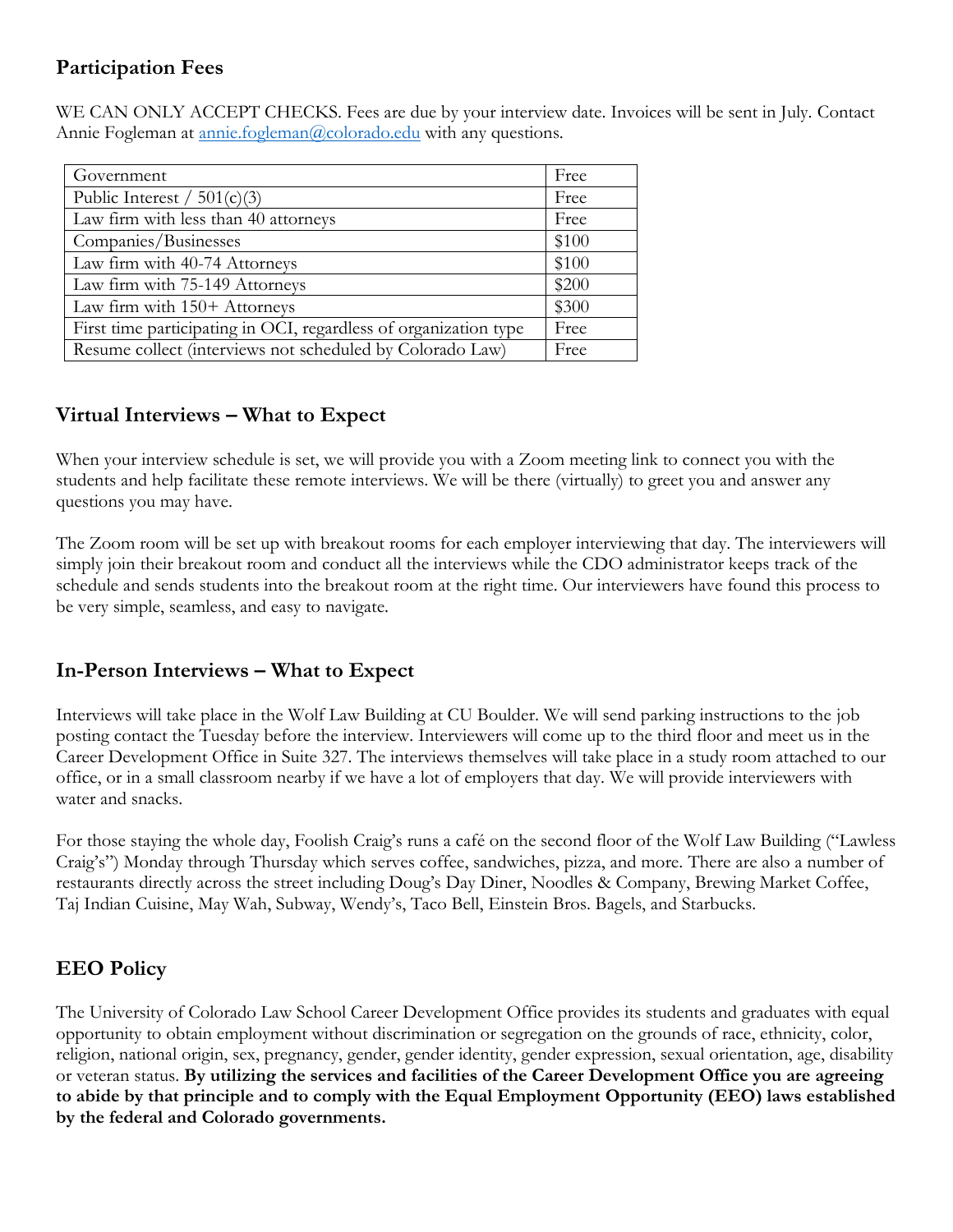## **Participation Fees**

WE CAN ONLY ACCEPT CHECKS. Fees are due by your interview date. Invoices will be sent in July. Contact Annie Fogleman at [annie.fogleman@colorado.edu](mailto:annie.fogleman@colorado.edu) with any questions.

| Government                                                       | Free  |
|------------------------------------------------------------------|-------|
| Public Interest / $501(c)(3)$                                    | Free  |
| Law firm with less than 40 attorneys                             | Free  |
| Companies/Businesses                                             | \$100 |
| Law firm with 40-74 Attorneys                                    | \$100 |
| Law firm with 75-149 Attorneys                                   | \$200 |
| Law firm with 150+ Attorneys                                     | \$300 |
| First time participating in OCI, regardless of organization type | Free  |
| Resume collect (interviews not scheduled by Colorado Law)        | Free  |

## **Virtual Interviews – What to Expect**

When your interview schedule is set, we will provide you with a Zoom meeting link to connect you with the students and help facilitate these remote interviews. We will be there (virtually) to greet you and answer any questions you may have.

The Zoom room will be set up with breakout rooms for each employer interviewing that day. The interviewers will simply join their breakout room and conduct all the interviews while the CDO administrator keeps track of the schedule and sends students into the breakout room at the right time. Our interviewers have found this process to be very simple, seamless, and easy to navigate.

## **In-Person Interviews – What to Expect**

Interviews will take place in the Wolf Law Building at CU Boulder. We will send parking instructions to the job posting contact the Tuesday before the interview. Interviewers will come up to the third floor and meet us in the Career Development Office in Suite 327. The interviews themselves will take place in a study room attached to our office, or in a small classroom nearby if we have a lot of employers that day. We will provide interviewers with water and snacks.

For those staying the whole day, Foolish Craig's runs a café on the second floor of the Wolf Law Building ("Lawless Craig's") Monday through Thursday which serves coffee, sandwiches, pizza, and more. There are also a number of restaurants directly across the street including Doug's Day Diner, Noodles & Company, Brewing Market Coffee, Taj Indian Cuisine, May Wah, Subway, Wendy's, Taco Bell, Einstein Bros. Bagels, and Starbucks.

## **EEO Policy**

The University of Colorado Law School Career Development Office provides its students and graduates with equal opportunity to obtain employment without discrimination or segregation on the grounds of race, ethnicity, color, religion, national origin, sex, pregnancy, gender, gender identity, gender expression, sexual orientation, age, disability or veteran status. **By utilizing the services and facilities of the Career Development Office you are agreeing to abide by that principle and to comply with the Equal Employment Opportunity (EEO) laws established by the federal and Colorado governments.**